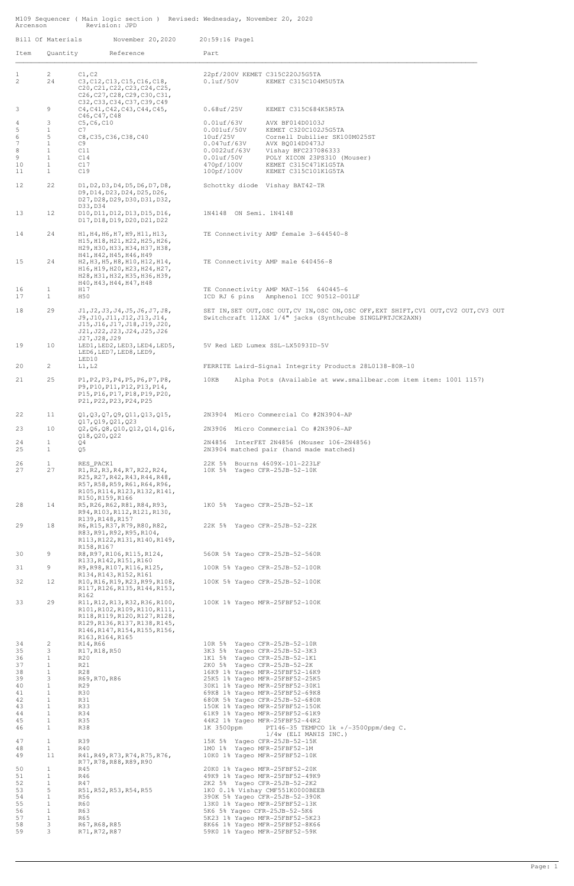M109 Sequencer ( Main logic section ) Revised: Wednesday, November 20, 2020 Arcenson Revision: JPD

| Bill Of Materials              |                                   | November 20,2020                                                                                                                                                                               | 20:59:16 Page1                                                                              |                                                                                                                                                    |
|--------------------------------|-----------------------------------|------------------------------------------------------------------------------------------------------------------------------------------------------------------------------------------------|---------------------------------------------------------------------------------------------|----------------------------------------------------------------------------------------------------------------------------------------------------|
| Item                           | Quantity                          | Reference                                                                                                                                                                                      | Part                                                                                        |                                                                                                                                                    |
| 1<br>2                         | $\overline{2}$<br>24              | C1, C2<br>C3, C12, C13, C15, C16, C18,<br>C20, C21, C22, C23, C24, C25,<br>C26, C27, C28, C29, C30, C31,                                                                                       | $0.1$ uf/ $50V$                                                                             | 22pf/200V KEMET C315C220J5G5TA<br>KEMET C315C104M5U5TA                                                                                             |
| 3                              | 9                                 | C32, C33, C34, C37, C39, C49<br>C4, C41, C42, C43, C44, C45,<br>C46, C47, C48                                                                                                                  | $0.68$ uf/25V                                                                               | KEMET C315C684K5R5TA                                                                                                                               |
| $\overline{4}$<br>5            | 3<br>$\mathbf{1}$                 | C5, C6, C10<br>C7                                                                                                                                                                              | $0.01$ uf/63V<br>$0.001$ uf/ $50V$                                                          | AVX BF014D0103J<br>KEMET C320C102J5G5TA                                                                                                            |
| $\epsilon$<br>$\boldsymbol{7}$ | 5<br>$\mathbf{1}$                 | C8, C35, C36, C38, C40<br>C9                                                                                                                                                                   | 10uf/25V<br>$0.047$ uf/63V                                                                  | Cornell Dubilier SK100M025ST<br>AVX BQ014D0473J                                                                                                    |
| 8<br>9                         | $\mathbf{1}$<br>$\mathbf{1}$      | C11                                                                                                                                                                                            | $0.0022$ uf/63V<br>$0.01$ uf/ $50V$                                                         | Vishay BFC237086333<br>POLY XICON 23PS310 (Mouser)                                                                                                 |
| 10<br>11                       | $\mathbf{1}$<br>$\mathbf{1}$      | C14<br>C17<br>C19                                                                                                                                                                              | 470pf/100V<br>100pf/100V                                                                    | KEMET C315C471K1G5TA<br>KEMET C315C101K1G5TA                                                                                                       |
| 12                             | 22                                | D1, D2, D3, D4, D5, D6, D7, D8,<br>D9, D14, D23, D24, D25, D26,<br>D27, D28, D29, D30, D31, D32,                                                                                               |                                                                                             | Schottky diode Vishay BAT42-TR                                                                                                                     |
| 13                             | 12                                | D33, D34<br>D10, D11, D12, D13, D15, D16,<br>D17, D18, D19, D20, D21, D22                                                                                                                      | 1N4148 ON Semi. 1N4148                                                                      |                                                                                                                                                    |
| 14                             | 24                                | H1, H4, H6, H7, H9, H11, H13,<br>H15, H18, H21, H22, H25, H26,<br>H29, H30, H33, H34, H37, H38,<br>H41, H42, H45, H46, H49                                                                     |                                                                                             | TE Connectivity AMP female 3-644540-8                                                                                                              |
| 15                             | 24                                | H2, H3, H5, H8, H10, H12, H14,<br>H16, H19, H20, H23, H24, H27,<br>H28, H31, H32, H35, H36, H39,<br>H40, H43, H44, H47, H48                                                                    |                                                                                             | TE Connectivity AMP male 640456-8                                                                                                                  |
| 16<br>17                       | $\mathbf{1}$<br>$\mathbf{1}$      | H17<br>H50                                                                                                                                                                                     | ICD RJ 6 pins                                                                               | TE Connectivity AMP MAT-156 640445-6<br>Amphenol ICC 90512-001LF                                                                                   |
| 18                             | 29                                | J1, J2, J3, J4, J5, J6, J7, J8,<br>J9, J10, J11, J12, J13, J14,<br>J15, J16, J17, J18, J19, J20,<br>J21, J22, J23, J24, J25, J26                                                               |                                                                                             | SET IN, SET OUT, OSC OUT, CV IN, OSC ON, OSC OFF, EXT SHIFT, CV1 OUT, CV2 OUT, CV3 OUT<br>Switchcraft 112AX 1/4" jacks (Synthcube SINGLPRTJCK2AXN) |
| 19                             | 10                                | J27, J28, J29<br>LED1, LED2, LED3, LED4, LED5,<br>LED6, LED7, LED8, LED9,                                                                                                                      |                                                                                             | 5V Red LED Lumex SSL-LX5093ID-5V                                                                                                                   |
| 20                             | $\overline{2}$                    | LED10<br>L1, L2                                                                                                                                                                                |                                                                                             | FERRITE Laird-Signal Integrity Products 28L0138-80R-10                                                                                             |
| 21                             | 25                                | P1, P2, P3, P4, P5, P6, P7, P8,<br>P9, P10, P11, P12, P13, P14,<br>P15, P16, P17, P18, P19, P20,<br>P21, P22, P23, P24, P25                                                                    | 10KB                                                                                        | Alpha Pots (Available at www.smallbear.com item item: 1001 1157)                                                                                   |
| 22                             | 11                                | Q1, Q3, Q7, Q9, Q11, Q13, Q15,                                                                                                                                                                 |                                                                                             | 2N3904 Micro Commercial Co #2N3904-AP                                                                                                              |
| 23                             | 10                                | Q17, Q19, Q21, Q23<br>Q2, Q6, Q8, Q10, Q12, Q14, Q16,                                                                                                                                          |                                                                                             | 2N3906 Micro Commercial Co #2N3906-AP                                                                                                              |
| 24<br>25                       | $\mathbf{1}$<br>$\mathbf{1}$      | Q18, Q20, Q22<br>Q4<br>Q5                                                                                                                                                                      |                                                                                             | 2N4856 InterFET 2N4856 (Mouser 106-2N4856)<br>2N3904 matched pair (hand made matched)                                                              |
| 26<br>27                       | $\mathbf{1}$<br>27                | RES_PACK1<br>R1, R2, R3, R4, R7, R22, R24,<br>R25, R27, R42, R43, R44, R48,<br>R57, R58, R59, R61, R64, R96,<br>R105, R114, R123, R132, R141,                                                  | 10K 5% Yageo CFR-25JB-52-10K                                                                | 22K 5% Bourns 4609X-101-223LF                                                                                                                      |
| 28                             | 14                                | R150, R159, R166<br>R5, R26, R62, R81, R84, R93,<br>R94, R103, R112, R121, R130,                                                                                                               | 1K0 5% Yageo CFR-25JB-52-1K                                                                 |                                                                                                                                                    |
| 29                             | 18                                | R139, R148, R157<br>R6, R15, R37, R79, R80, R82,<br>R83, R91, R92, R95, R104,<br>R113, R122, R131, R140, R149,<br>R158, R167                                                                   | 22K 5% Yageo CFR-25JB-52-22K                                                                |                                                                                                                                                    |
| 30                             | 9                                 | R8, R97, R106, R115, R124,<br>R133, R142, R151, R160                                                                                                                                           |                                                                                             | 560R 5% Yageo CFR-25JB-52-560R                                                                                                                     |
| 31                             | 9                                 | R9, R98, R107, R116, R125,                                                                                                                                                                     |                                                                                             | 100R 5% Yageo CFR-25JB-52-100R                                                                                                                     |
| 32                             | 12                                | R134, R143, R152, R161<br>R10, R16, R19, R23, R99, R108,<br>R117, R126, R135, R144, R153,                                                                                                      |                                                                                             | 100K 5% Yageo CFR-25JB-52-100K                                                                                                                     |
| 33                             | 29                                | R162<br>R11, R12, R13, R32, R36, R100,<br>R101, R102, R109, R110, R111,<br>R118, R119, R120, R127, R128,<br>R129, R136, R137, R138, R145,<br>R146, R147, R154, R155, R156,<br>R163, R164, R165 |                                                                                             | 100K 1% Yageo MFR-25FBF52-100K                                                                                                                     |
| 34<br>35                       | 2                                 | R14, R66                                                                                                                                                                                       | 10R 5% Yageo CFR-25JB-52-10R                                                                |                                                                                                                                                    |
| 36<br>37                       | 3<br>$\mathbf{1}$<br>$\mathbf{1}$ | R17, R18, R50<br>R20<br>R21                                                                                                                                                                    | 3K3 5% Yageo CFR-25JB-52-3K3<br>1K1 5% Yageo CFR-25JB-52-1K1<br>2K0 5% Yageo CFR-25JB-52-2K |                                                                                                                                                    |
| 38                             | $\mathbf{1}$                      | R28                                                                                                                                                                                            |                                                                                             | 16K9 1% Yaqeo MFR-25FBF52-16K9                                                                                                                     |
| 39<br>40                       | 3<br>$\mathbf{1}$                 | R69, R70, R86<br>R29                                                                                                                                                                           |                                                                                             | 25K5 1% Yageo MFR-25FBF52-25K5<br>30K1 1% Yageo MFR-25FBF52-30K1                                                                                   |
| 41<br>42                       | $\mathbf{1}$<br>$\mathbf{1}$      | R30<br>R31                                                                                                                                                                                     |                                                                                             | 69K8 1% Yaqeo MFR-25FBF52-69K8<br>680R 5% Yageo CFR-25JB-52-680R                                                                                   |
| 43<br>44                       | $\mathbf{1}$<br>$\mathbf{1}$      | R33<br>R34                                                                                                                                                                                     |                                                                                             | 150K 1% Yageo MFR-25FBF52-150K<br>61K9 1% Yageo MFR-25FBF52-61K9                                                                                   |
| 45<br>46                       | $\mathbf{1}$<br>$\mathbf{1}$      | R35<br>R38                                                                                                                                                                                     | 1K 3500ppm                                                                                  | 44K2 1% Yageo MFR-25FBF52-44K2<br>PT146-35 TEMPCO 1k +/-3500ppm/deg C.<br>$1/4w$ (ELI MANIS INC.)                                                  |
| 47<br>48                       | $\mathbf{1}$<br>$\mathbf{1}$      | R39<br>R40                                                                                                                                                                                     | 15K 5% Yaqeo CFR-25JB-52-15K<br>1M0 1% Yageo MFR-25FBF52-1M                                 |                                                                                                                                                    |
| 49                             | 11                                | R41, R49, R73, R74, R75, R76,<br>R77, R78, R88, R89, R90                                                                                                                                       | 10K0 1% Yageo MFR-25FBF52-10K                                                               |                                                                                                                                                    |
| 50<br>51                       | $\mathbf{1}$<br>$\mathbf{1}$      | R45<br>R46                                                                                                                                                                                     | 20K0 1% Yaqeo MFR-25FBF52-20K                                                               | 49K9 1% Yageo MFR-25FBF52-49K9                                                                                                                     |
| 52<br>53                       | $\mathbf{1}$<br>5                 | R47<br>R51, R52, R53, R54, R55                                                                                                                                                                 | 2K2 5% Yageo CFR-25JB-52-2K2                                                                | 1K0 0.1% Vishay CMF551K0000BEEB                                                                                                                    |
| 54<br>55                       | 1<br>1                            | R56<br>R60                                                                                                                                                                                     | 13K0 1% Yageo MFR-25FBF52-13K                                                               | 390K 5% Yageo CFR-25JB-52-390K                                                                                                                     |
| 56                             | $\mathbf{1}$                      | R63                                                                                                                                                                                            | 5K6 5% Yaqeo CFR-25JB-52-5K6                                                                |                                                                                                                                                    |
| 57<br>58                       | $\mathbf{1}$<br>3                 | R65<br>R67, R68, R85                                                                                                                                                                           |                                                                                             | 5K23 1% Yageo MFR-25FBF52-5K23<br>8K66 1% Yageo MFR-25FBF52-8K66                                                                                   |
| 59                             | 3                                 | R71, R72, R87                                                                                                                                                                                  | 59K0 1% Yaqeo MFR-25FBF52-59K                                                               |                                                                                                                                                    |